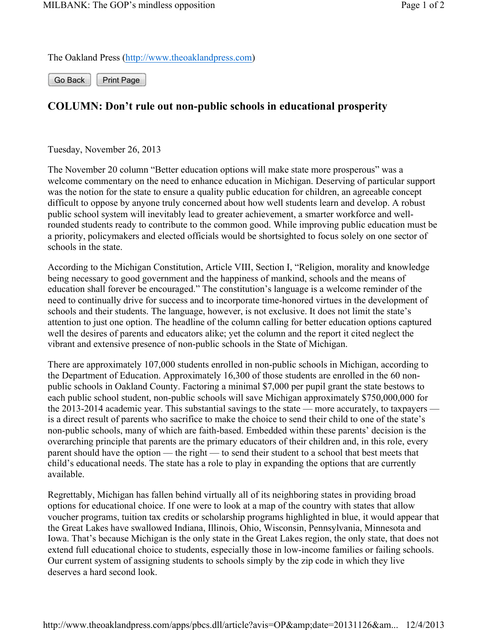The Oakland Press (http://www.theoaklandpress.com)

Go Back | Print Page

## **COLUMN: Don't rule out non-public schools in educational prosperity**

Tuesday, November 26, 2013

The November 20 column "Better education options will make state more prosperous" was a welcome commentary on the need to enhance education in Michigan. Deserving of particular support was the notion for the state to ensure a quality public education for children, an agreeable concept difficult to oppose by anyone truly concerned about how well students learn and develop. A robust public school system will inevitably lead to greater achievement, a smarter workforce and wellrounded students ready to contribute to the common good. While improving public education must be a priority, policymakers and elected officials would be shortsighted to focus solely on one sector of schools in the state.

According to the Michigan Constitution, Article VIII, Section I, "Religion, morality and knowledge being necessary to good government and the happiness of mankind, schools and the means of education shall forever be encouraged." The constitution's language is a welcome reminder of the need to continually drive for success and to incorporate time-honored virtues in the development of schools and their students. The language, however, is not exclusive. It does not limit the state's attention to just one option. The headline of the column calling for better education options captured well the desires of parents and educators alike; yet the column and the report it cited neglect the vibrant and extensive presence of non-public schools in the State of Michigan.

There are approximately 107,000 students enrolled in non-public schools in Michigan, according to the Department of Education. Approximately 16,300 of those students are enrolled in the 60 nonpublic schools in Oakland County. Factoring a minimal \$7,000 per pupil grant the state bestows to each public school student, non-public schools will save Michigan approximately \$750,000,000 for the 2013-2014 academic year. This substantial savings to the state — more accurately, to taxpayers is a direct result of parents who sacrifice to make the choice to send their child to one of the state's non-public schools, many of which are faith-based. Embedded within these parents' decision is the overarching principle that parents are the primary educators of their children and, in this role, every parent should have the option — the right — to send their student to a school that best meets that child's educational needs. The state has a role to play in expanding the options that are currently available.

Regrettably, Michigan has fallen behind virtually all of its neighboring states in providing broad options for educational choice. If one were to look at a map of the country with states that allow voucher programs, tuition tax credits or scholarship programs highlighted in blue, it would appear that the Great Lakes have swallowed Indiana, Illinois, Ohio, Wisconsin, Pennsylvania, Minnesota and Iowa. That's because Michigan is the only state in the Great Lakes region, the only state, that does not extend full educational choice to students, especially those in low-income families or failing schools. Our current system of assigning students to schools simply by the zip code in which they live deserves a hard second look.